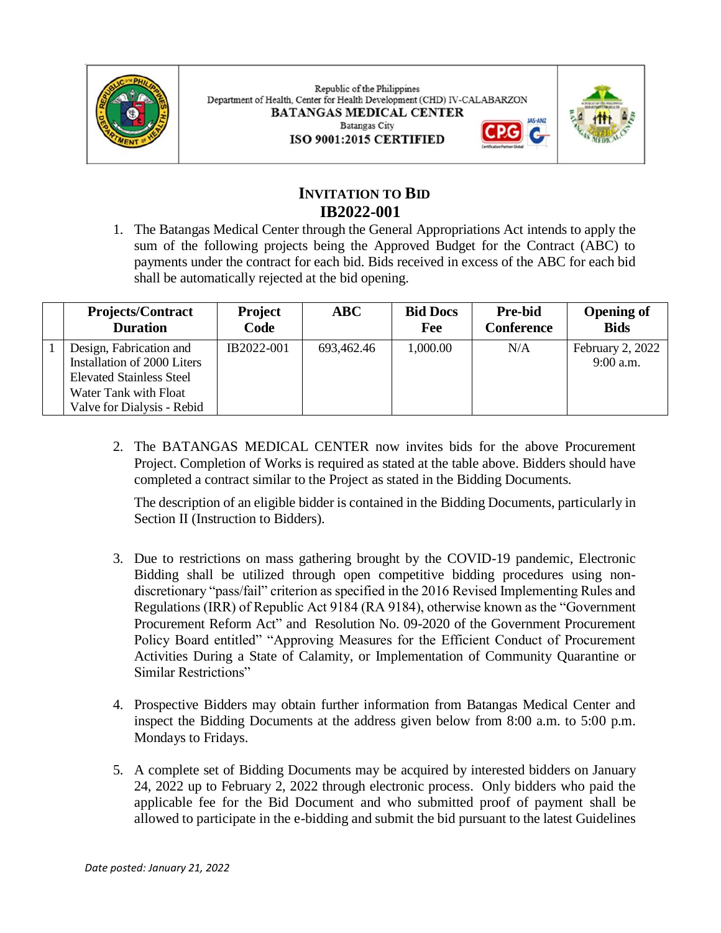

Republic of the Philippines Department of Health, Center for Health Development (CHD) IV-CALABARZON **BATANGAS MEDICAL CENTER Batangas City** ISO 9001:2015 CERTIFIED



# **INVITATION TO BID IB2022-001**

1. The Batangas Medical Center through the General Appropriations Act intends to apply the sum of the following projects being the Approved Budget for the Contract (ABC) to payments under the contract for each bid. Bids received in excess of the ABC for each bid shall be automatically rejected at the bid opening.

| <b>Projects/Contract</b><br><b>Duration</b> | <b>Project</b><br>Code | ABC        | <b>Bid Docs</b><br>Fee | <b>Pre-bid</b><br><b>Conference</b> | <b>Opening of</b><br><b>Bids</b> |
|---------------------------------------------|------------------------|------------|------------------------|-------------------------------------|----------------------------------|
| Design, Fabrication and                     | IB2022-001             | 693,462.46 | 1,000.00               | N/A                                 | February 2, 2022                 |
| Installation of 2000 Liters                 |                        |            |                        |                                     | $9:00$ a.m.                      |
| <b>Elevated Stainless Steel</b>             |                        |            |                        |                                     |                                  |
| Water Tank with Float                       |                        |            |                        |                                     |                                  |
| Valve for Dialysis - Rebid                  |                        |            |                        |                                     |                                  |

2. The BATANGAS MEDICAL CENTER now invites bids for the above Procurement Project. Completion of Works is required as stated at the table above. Bidders should have completed a contract similar to the Project as stated in the Bidding Documents.

The description of an eligible bidder is contained in the Bidding Documents, particularly in Section II (Instruction to Bidders).

- 3. Due to restrictions on mass gathering brought by the COVID-19 pandemic, Electronic Bidding shall be utilized through open competitive bidding procedures using nondiscretionary "pass/fail" criterion as specified in the 2016 Revised Implementing Rules and Regulations (IRR) of Republic Act 9184 (RA 9184), otherwise known as the "Government Procurement Reform Act" and Resolution No. 09-2020 of the Government Procurement Policy Board entitled" "Approving Measures for the Efficient Conduct of Procurement Activities During a State of Calamity, or Implementation of Community Quarantine or Similar Restrictions"
- 4. Prospective Bidders may obtain further information from Batangas Medical Center and inspect the Bidding Documents at the address given below from 8:00 a.m. to 5:00 p.m. Mondays to Fridays.
- 5. A complete set of Bidding Documents may be acquired by interested bidders on January 24, 2022 up to February 2, 2022 through electronic process. Only bidders who paid the applicable fee for the Bid Document and who submitted proof of payment shall be allowed to participate in the e-bidding and submit the bid pursuant to the latest Guidelines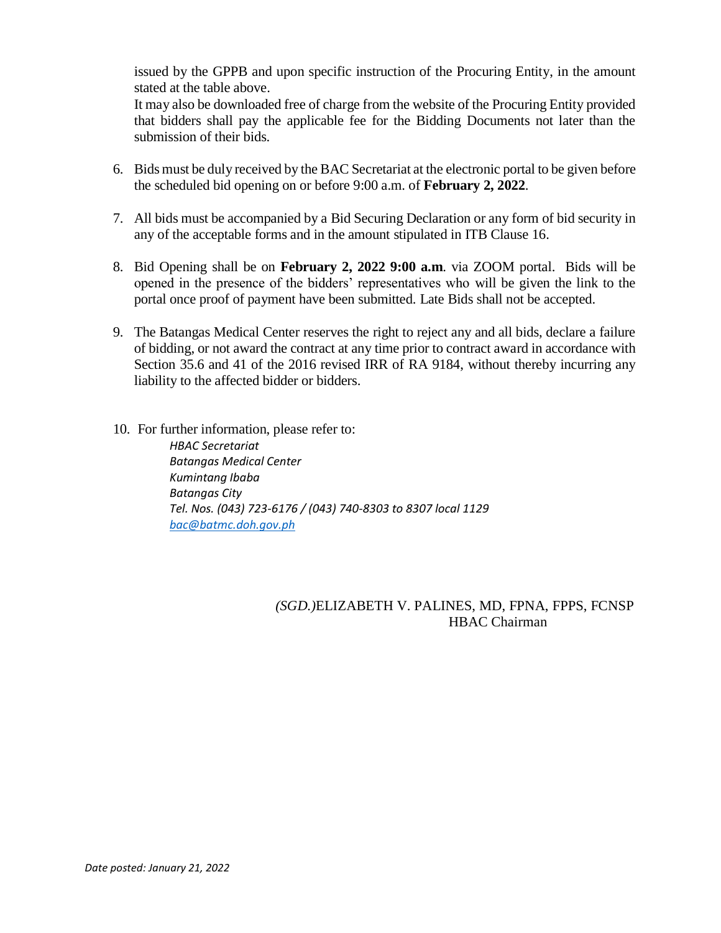issued by the GPPB and upon specific instruction of the Procuring Entity, in the amount stated at the table above.

It may also be downloaded free of charge from the website of the Procuring Entity provided that bidders shall pay the applicable fee for the Bidding Documents not later than the submission of their bids.

- 6. Bids must be duly received by the BAC Secretariat at the electronic portal to be given before the scheduled bid opening on or before 9:00 a.m. of **February 2, 2022**.
- 7. All bids must be accompanied by a Bid Securing Declaration or any form of bid security in any of the acceptable forms and in the amount stipulated in ITB Clause 16.
- 8. Bid Opening shall be on **February 2, 2022 9:00 a.m**. via ZOOM portal. Bids will be opened in the presence of the bidders' representatives who will be given the link to the portal once proof of payment have been submitted. Late Bids shall not be accepted.
- 9. The Batangas Medical Center reserves the right to reject any and all bids, declare a failure of bidding, or not award the contract at any time prior to contract award in accordance with Section 35.6 and 41 of the 2016 revised IRR of RA 9184, without thereby incurring any liability to the affected bidder or bidders.
- 10. For further information, please refer to:

*HBAC Secretariat Batangas Medical Center Kumintang Ibaba Batangas City Tel. Nos. (043) 723-6176 / (043) 740-8303 to 8307 local 1129 [bac@batmc.doh.gov.ph](mailto:bac@batmc.doh.gov.ph)*

## *(SGD.)*ELIZABETH V. PALINES, MD, FPNA, FPPS, FCNSP HBAC Chairman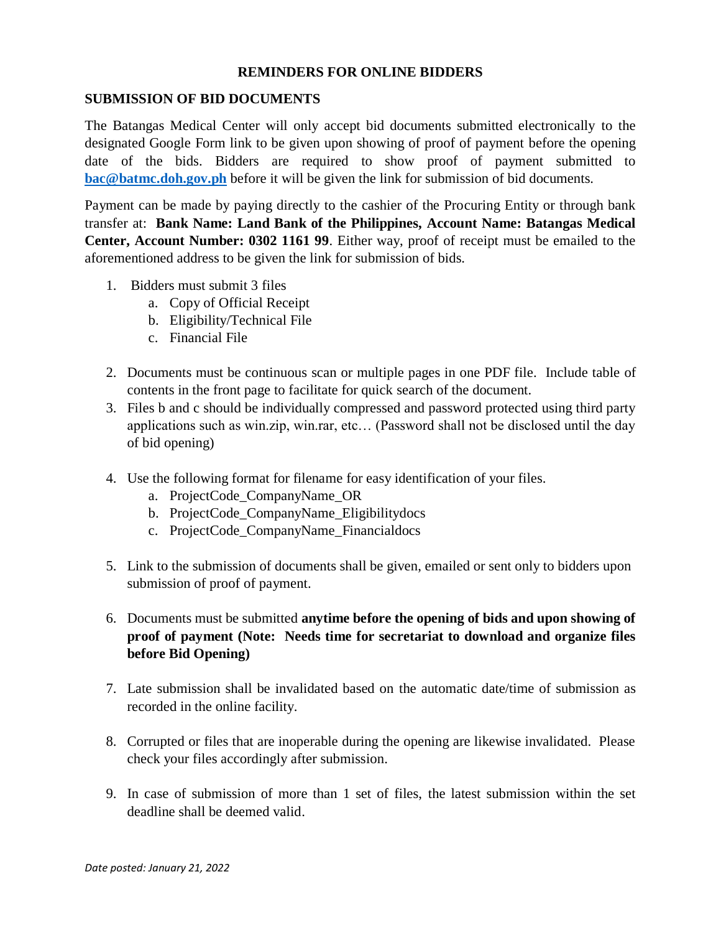## **REMINDERS FOR ONLINE BIDDERS**

#### **SUBMISSION OF BID DOCUMENTS**

The Batangas Medical Center will only accept bid documents submitted electronically to the designated Google Form link to be given upon showing of proof of payment before the opening date of the bids. Bidders are required to show proof of payment submitted to **[bac@batmc.doh.gov.ph](mailto:bac@batmc.doh.gov.ph)** before it will be given the link for submission of bid documents.

Payment can be made by paying directly to the cashier of the Procuring Entity or through bank transfer at: **Bank Name: Land Bank of the Philippines, Account Name: Batangas Medical Center, Account Number: 0302 1161 99**. Either way, proof of receipt must be emailed to the aforementioned address to be given the link for submission of bids.

- 1. Bidders must submit 3 files
	- a. Copy of Official Receipt
	- b. Eligibility/Technical File
	- c. Financial File
- 2. Documents must be continuous scan or multiple pages in one PDF file. Include table of contents in the front page to facilitate for quick search of the document.
- 3. Files b and c should be individually compressed and password protected using third party applications such as win.zip, win.rar, etc… (Password shall not be disclosed until the day of bid opening)
- 4. Use the following format for filename for easy identification of your files.
	- a. ProjectCode\_CompanyName\_OR
	- b. ProjectCode\_CompanyName\_Eligibilitydocs
	- c. ProjectCode\_CompanyName\_Financialdocs
- 5. Link to the submission of documents shall be given, emailed or sent only to bidders upon submission of proof of payment.
- 6. Documents must be submitted **anytime before the opening of bids and upon showing of proof of payment (Note: Needs time for secretariat to download and organize files before Bid Opening)**
- 7. Late submission shall be invalidated based on the automatic date/time of submission as recorded in the online facility.
- 8. Corrupted or files that are inoperable during the opening are likewise invalidated. Please check your files accordingly after submission.
- 9. In case of submission of more than 1 set of files, the latest submission within the set deadline shall be deemed valid.